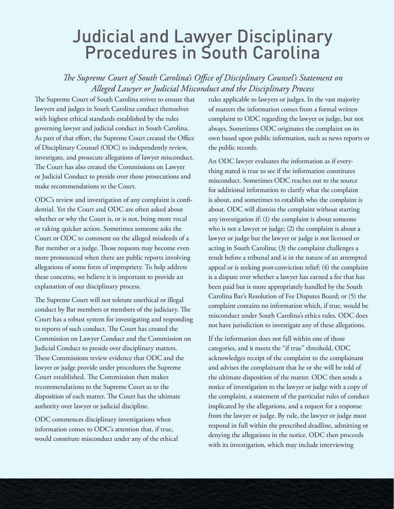## Judicial and Lawyer Disciplinary Procedures in South Carolina

*!e Supreme Court of South Carolina's O"ce of Disciplinary Counsel's Statement on Alleged Lawyer or Judicial Misconduct and the Disciplinary Process*

The Supreme Court of South Carolina strives to ensure that lawyers and judges in South Carolina conduct themselves with highest ethical standards established by the rules governing lawyer and judicial conduct in South Carolina. As part of that effort, the Supreme Court created the Office of Disciplinary Counsel (ODC) to independently review, investigate, and prosecute allegations of lawyer misconduct. The Court has also created the Commissions on Lawyer or Judicial Conduct to preside over those prosecutions and make recommendations to the Court.

ODC's review and investigation of any complaint is confidential. Yet the Court and ODC are often asked about whether or why the Court is, or is not, being more vocal or taking quicker action. Sometimes someone asks the Court or ODC to comment on the alleged misdeeds of a Bar member or a judge. Those requests may become even more pronounced when there are public reports involving allegations of some form of impropriety. To help address these concerns, we believe it is important to provide an explanation of our disciplinary process.

The Supreme Court will not tolerate unethical or illegal conduct by Bar members or members of the judiciary. The Court has a robust system for investigating and responding to reports of such conduct. The Court has created the Commission on Lawyer Conduct and the Commission on Judicial Conduct to preside over disciplinary matters. These Commissions review evidence that ODC and the lawyer or judge provide under procedures the Supreme Court established. The Commission then makes recommendations to the Supreme Court as to the disposition of each matter. The Court has the ultimate authority over lawyer or judicial discipline.

ODC commences disciplinary investigations when information comes to ODC's attention that, if true, would constitute misconduct under any of the ethical rules applicable to lawyers or judges. In the vast majority of matters the information comes from a formal written complaint to ODC regarding the lawyer or judge, but not always. Sometimes ODC originates the complaint on its own based upon public information, such as news reports or the public records.

An ODC lawyer evaluates the information as if everything stated is true to see if the information constitutes misconduct. Sometimes ODC reaches out to the source for additional information to clarify what the complaint is about, and sometimes to establish who the complaint is about. ODC will dismiss the complaint without starting any investigation if: (1) the complaint is about someone who is not a lawyer or judge; (2) the complaint is about a lawyer or judge but the lawyer or judge is not licensed or acting in South Carolina; (3) the complaint challenges a result before a tribunal and is in the nature of an attempted appeal or is seeking post-conviction relief; (4) the complaint is a dispute over whether a lawyer has earned a fee that has been paid but is more appropriately handled by the South Carolina Bar's Resolution of Fee Disputes Board; or (5) the complaint contains no information which, if true, would be misconduct under South Carolina's ethics rules. ODC does not have jurisdiction to investigate any of these allegations.

If the information does not fall within one of those categories, and it meets the "if true" threshold, ODC acknowledges receipt of the complaint to the complainant and advises the complainant that he or she will be told of the ultimate disposition of the matter. ODC then sends a notice of investigation to the lawyer or judge with a copy of the complaint, a statement of the particular rules of conduct implicated by the allegations, and a request for a response from the lawyer or judge. By rule, the lawyer or judge must respond in full within the prescribed deadline, admitting or denying the allegations in the notice. ODC then proceeds with its investigation, which may include interviewing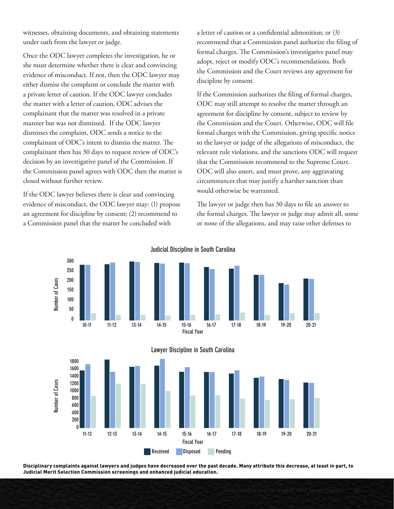witnesses, obtaining documents, and obtaining statements under oath from the lawyer or judge.

Once the ODC lawyer completes the investigation, he or she must determine whether there is clear and convincing evidence of misconduct. If not, then the ODC lawyer may either dismiss the complaint or conclude the matter with a private letter of caution. If the ODC lawyer concludes the matter with a letter of caution, ODC advises the complainant that the matter was resolved in a private manner but was not dismissed. If the ODC lawyer dismisses the complaint, ODC sends a notice to the complainant of ODC's intent to dismiss the matter. The complainant then has 30 days to request review of ODC's decision by an investigative panel of the Commission. If the Commission panel agrees with ODC then the matter is closed without further review.

If the ODC lawyer believes there is clear and convincing evidence of misconduct, the ODC lawyer may: (1) propose an agreement for discipline by consent; (2) recommend to a Commission panel that the matter be concluded with

a letter of caution or a confidential admonition; or (3) recommend that a Commission panel authorize the filing of formal charges. The Commission's investigative panel may adopt, reject or modify ODC's recommendations. Both the Commission and the Court reviews any agreement for discipline by consent.

If the Commission authorizes the filing of formal charges, ODC may still attempt to resolve the matter through an agreement for discipline by consent, subject to review by the Commission and the Court. Otherwise, ODC will file formal charges with the Commission, giving specific notice to the lawyer or judge of the allegations of misconduct, the relevant rule violations, and the sanctions ODC will request that the Commission recommend to the Supreme Court. ODC will also assert, and must prove, any aggravating circumstances that may justify a harsher sanction than would otherwise be warranted.

The lawyer or judge then has 30 days to file an answer to the formal charges. The lawyer or judge may admit all, some or none of the allegations, and may raise other defenses to







Disciplinary complaints against lawyers and judges have decreased over the past decade. Many attribute this decrease, at least in part, to Judicial Merit Selection Commission screenings and enhanced judicial education.

Judicial Discipline in South Carolina